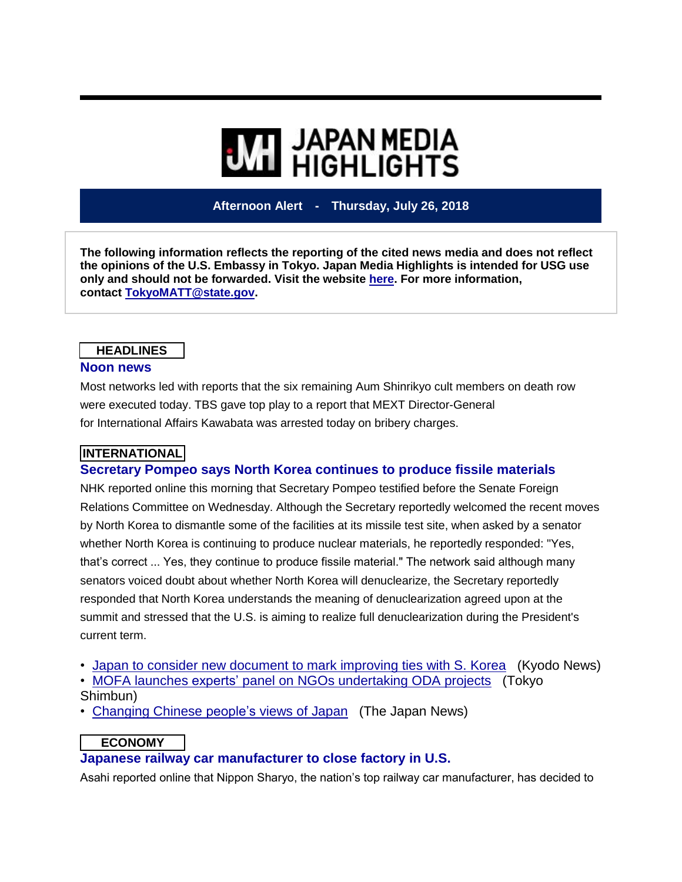# **WI JAPAN MEDIA**<br>HIGHLIGHTS

**Afternoon Alert - Thursday, July 26, 2018**

**The following information reflects the reporting of the cited news media and does not reflect the opinions of the U.S. Embassy in Tokyo. Japan Media Highlights is intended for USG use only and should not be forwarded. Visit the website [here.](https://jmh.usembassy.gov/) For more information, contact [TokyoMATT@state.gov.](mailto:TokyoMATT@state.gov)**

#### **HEADLINES Noon news**

Most networks led with reports that the six remaining Aum Shinrikyo cult members on death row were executed today. TBS gave top play to a report that MEXT Director-General for International Affairs Kawabata was arrested today on bribery charges.

## **INTERNATIONAL**

## **Secretary Pompeo says North Korea continues to produce fissile materials**

NHK reported online this morning that Secretary Pompeo testified before the Senate Foreign Relations Committee on Wednesday. Although the Secretary reportedly welcomed the recent moves by North Korea to dismantle some of the facilities at its missile test site, when asked by a senator whether North Korea is continuing to produce nuclear materials, he reportedly responded: "Yes, that's correct ... Yes, they continue to produce fissile material." The network said although many senators voiced doubt about whether North Korea will denuclearize, the Secretary reportedly responded that North Korea understands the meaning of denuclearization agreed upon at the summit and stressed that the U.S. is aiming to realize full denuclearization during the President's current term.

• Japan to consider new [document](https://jmh.usembassy.gov/20180726108981/) to mark improving ties with S. Korea (Kyodo News)

• MOFA launches experts' panel on NGOs [undertaking](https://jmh.usembassy.gov/20180726108993/) ODA projects (Tokyo Shimbun)

• [Changing](https://jmh.usembassy.gov/20180726108967/) Chinese people's views of Japan (The Japan News)

#### **ECONOMY**

## **Japanese railway car manufacturer to close factory in U.S.**

Asahi reported online that Nippon Sharyo, the nation's top railway car manufacturer, has decided to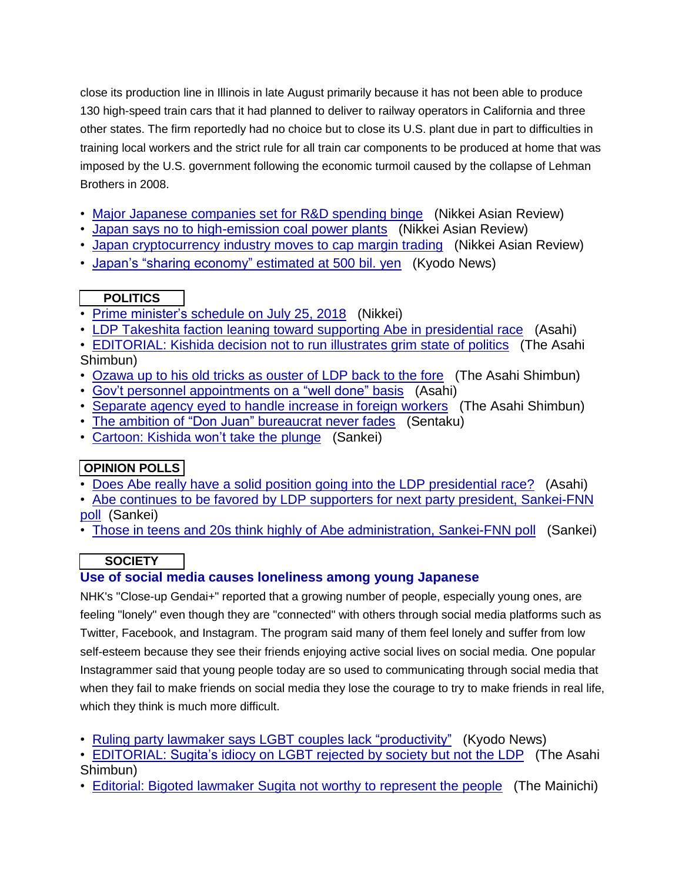close its production line in Illinois in late August primarily because it has not been able to produce 130 high-speed train cars that it had planned to deliver to railway operators in California and three other states. The firm reportedly had no choice but to close its U.S. plant due in part to difficulties in training local workers and the strict rule for all train car components to be produced at home that was imposed by the U.S. government following the economic turmoil caused by the collapse of Lehman Brothers in 2008.

- Major Japanese [companies](https://jmh.usembassy.gov/20180726108980/) set for R&D spending binge (Nikkei Asian Review)
- Japan says no to [high-emission](https://jmh.usembassy.gov/20180726108978/) coal power plants (Nikkei Asian Review)
- Japan [cryptocurrency](https://jmh.usembassy.gov/20180726108979/) industry moves to cap margin trading (Nikkei Asian Review)
- Japan's "sharing [economy"](https://jmh.usembassy.gov/20180726108994/) estimated at 500 bil. yen (Kyodo News)

## **POLITICS**

- Prime [minister's](https://jmh.usembassy.gov/20180726108986/) schedule on July 25, 2018 (Nikkei)
- LDP Takeshita faction leaning toward supporting Abe in [presidential](https://jmh.usembassy.gov/20180726108977/) race (Asahi)
- [EDITORIAL:](https://jmh.usembassy.gov/20180726109007/) Kishida decision not to run illustrates grim state of politics (The Asahi Shimbun)
- [Ozawa](https://jmh.usembassy.gov/20180726108985/) up to his old tricks as ouster of LDP back to the fore (The Asahi Shimbun)
- Gov't personnel [appointments](https://jmh.usembassy.gov/20180726109004/) on a "well done" basis (Asahi)
- [Separate](https://jmh.usembassy.gov/20180726108996/) agency eyed to handle increase in foreign workers (The Asahi Shimbun)
- The ambition of "Don Juan" [bureaucrat](https://jmh.usembassy.gov/20180726109019/) never fades (Sentaku)
- [Cartoon:](https://jmh.usembassy.gov/20180726108988/) Kishida won't take the plunge (Sankei)

# **OPINION POLLS**

- Does Abe really have a solid position going into the LDP [presidential](https://jmh.usembassy.gov/20180726109032/) race? (Asahi)
- Abe continues to be favored by LDP supporters for next party president, [Sankei-FNN](https://jmh.usembassy.gov/20180726109028/) [poll](https://jmh.usembassy.gov/20180726109028/) (Sankei)
- Those in teens and 20s think highly of Abe [administration,](https://jmh.usembassy.gov/20180726108997/) Sankei-FNN poll (Sankei)

# **SOCIETY**

## **Use of social media causes loneliness among young Japanese**

NHK's "Close-up Gendai+" reported that a growing number of people, especially young ones, are feeling "lonely" even though they are "connected" with others through social media platforms such as Twitter, Facebook, and Instagram. The program said many of them feel lonely and suffer from low self-esteem because they see their friends enjoying active social lives on social media. One popular Instagrammer said that young people today are so used to communicating through social media that when they fail to make friends on social media they lose the courage to try to make friends in real life, which they think is much more difficult.

- Ruling party lawmaker says LGBT couples lack ["productivity"](https://jmh.usembassy.gov/20180726108999/) (Kyodo News)
- [EDITORIAL:](https://jmh.usembassy.gov/20180726109000/) Sugita's idiocy on LGBT rejected by society but not the LDP (The Asahi Shimbun)
- Editorial: Bigoted [lawmaker](https://jmh.usembassy.gov/20180726109002/) Sugita not worthy to represent the people (The Mainichi)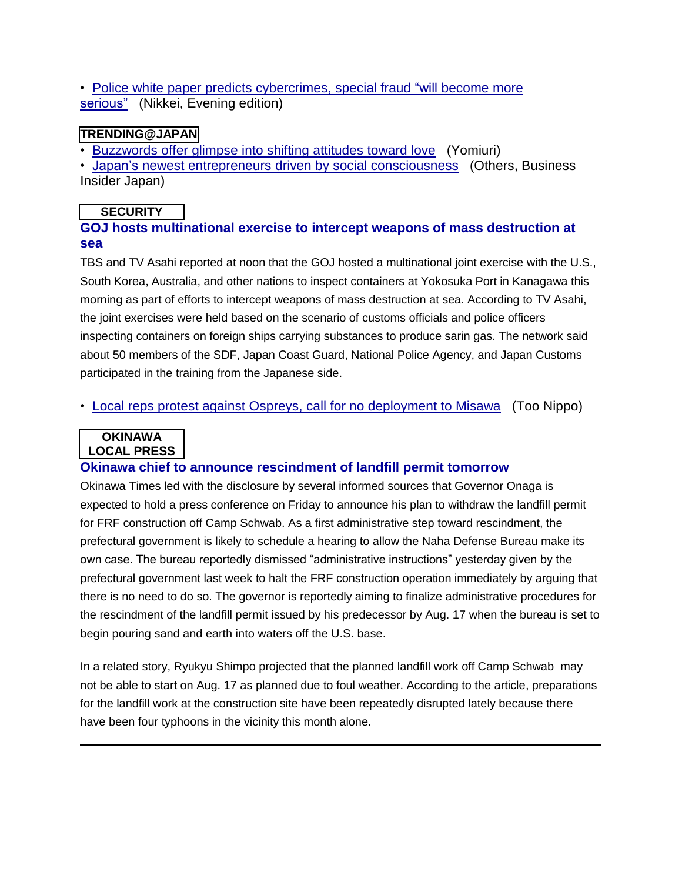• Police white paper predicts [cybercrimes,](https://jmh.usembassy.gov/20180726109026/) special fraud "will become more [serious"](https://jmh.usembassy.gov/20180726109026/) (Nikkei, Evening edition)

#### **TRENDING@JAPAN**

• [Buzzwords](https://jmh.usembassy.gov/20180726109010/) offer glimpse into shifting attitudes toward love (Yomiuri)

• Japan's newest entrepreneurs driven by social [consciousness](https://jmh.usembassy.gov/20180726109014/) (Others, Business Insider Japan)

## **SECURITY**

## **GOJ hosts multinational exercise to intercept weapons of mass destruction at sea**

TBS and TV Asahi reported at noon that the GOJ hosted a multinational joint exercise with the U.S., South Korea, Australia, and other nations to inspect containers at Yokosuka Port in Kanagawa this morning as part of efforts to intercept weapons of mass destruction at sea. According to TV Asahi, the joint exercises were held based on the scenario of customs officials and police officers inspecting containers on foreign ships carrying substances to produce sarin gas. The network said about 50 members of the SDF, Japan Coast Guard, National Police Agency, and Japan Customs participated in the training from the Japanese side.

• Local reps protest against Ospreys, call for no [deployment](https://jmh.usembassy.gov/20180726109027/) to Misawa (Too Nippo)

#### **OKINAWA LOCAL PRESS**

## **Okinawa chief to announce rescindment of landfill permit tomorrow**

Okinawa Times led with the disclosure by several informed sources that Governor Onaga is expected to hold a press conference on Friday to announce his plan to withdraw the landfill permit for FRF construction off Camp Schwab. As a first administrative step toward rescindment, the prefectural government is likely to schedule a hearing to allow the Naha Defense Bureau make its own case. The bureau reportedly dismissed "administrative instructions" yesterday given by the prefectural government last week to halt the FRF construction operation immediately by arguing that there is no need to do so. The governor is reportedly aiming to finalize administrative procedures for the rescindment of the landfill permit issued by his predecessor by Aug. 17 when the bureau is set to begin pouring sand and earth into waters off the U.S. base.

In a related story, Ryukyu Shimpo projected that the planned landfill work off Camp Schwab may not be able to start on Aug. 17 as planned due to foul weather. According to the article, preparations for the landfill work at the construction site have been repeatedly disrupted lately because there have been four typhoons in the vicinity this month alone.